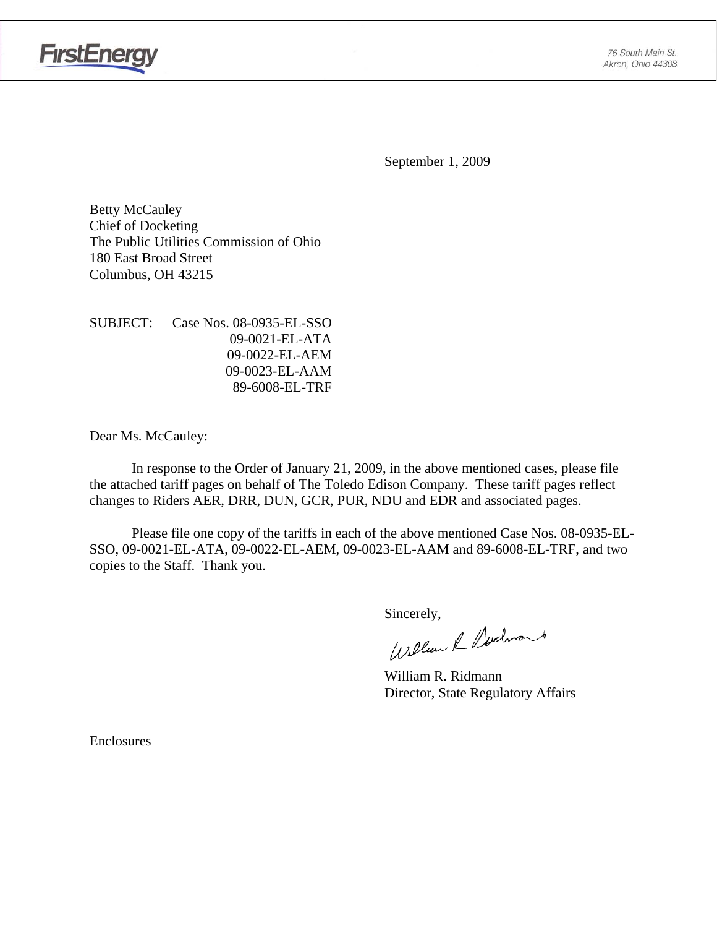

September 1, 2009

Betty McCauley Chief of Docketing The Public Utilities Commission of Ohio 180 East Broad Street Columbus, OH 43215

SUBJECT: Case Nos. 08-0935-EL-SSO 09-0021-EL-ATA 09-0022-EL-AEM 09-0023-EL-AAM 89-6008-EL-TRF

Dear Ms. McCauley:

 In response to the Order of January 21, 2009, in the above mentioned cases, please file the attached tariff pages on behalf of The Toledo Edison Company. These tariff pages reflect changes to Riders AER, DRR, DUN, GCR, PUR, NDU and EDR and associated pages.

Please file one copy of the tariffs in each of the above mentioned Case Nos. 08-0935-EL-SSO, 09-0021-EL-ATA, 09-0022-EL-AEM, 09-0023-EL-AAM and 89-6008-EL-TRF, and two copies to the Staff. Thank you.

Sincerely,<br>William & Nechnant

 William R. Ridmann Director, State Regulatory Affairs

Enclosures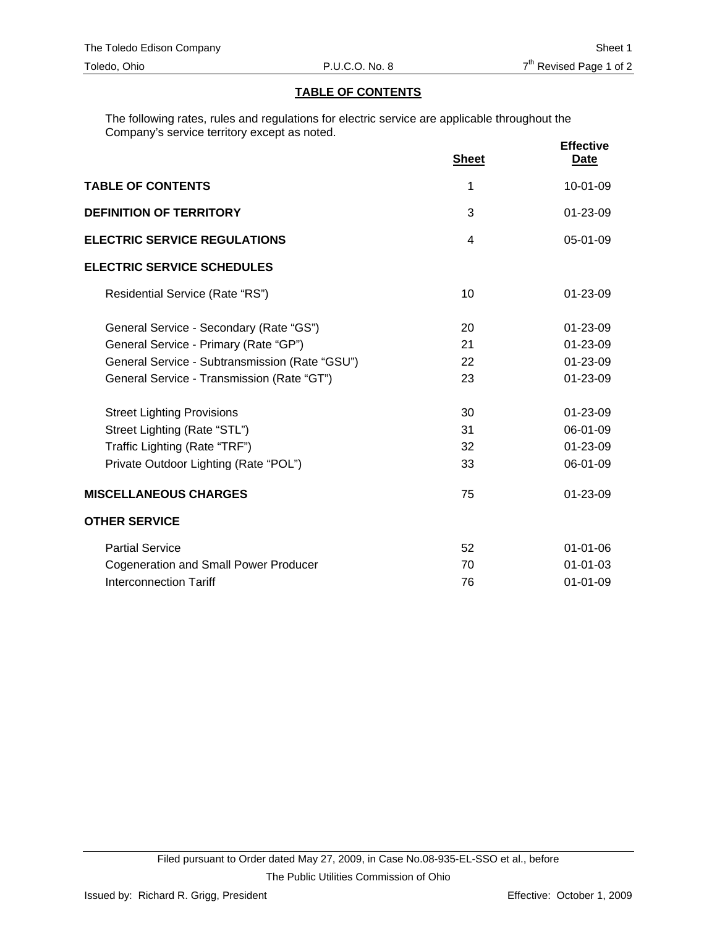#### **TABLE OF CONTENTS**

The following rates, rules and regulations for electric service are applicable throughout the Company's service territory except as noted.

|                                                |                | <b>Effective</b> |
|------------------------------------------------|----------------|------------------|
|                                                | <b>Sheet</b>   | <u>Date</u>      |
| <b>TABLE OF CONTENTS</b>                       | 1              | 10-01-09         |
| <b>DEFINITION OF TERRITORY</b>                 | 3              | 01-23-09         |
| <b>ELECTRIC SERVICE REGULATIONS</b>            | $\overline{4}$ | 05-01-09         |
| <b>ELECTRIC SERVICE SCHEDULES</b>              |                |                  |
| Residential Service (Rate "RS")                | 10             | $01 - 23 - 09$   |
| General Service - Secondary (Rate "GS")        | 20             | 01-23-09         |
| General Service - Primary (Rate "GP")          | 21             | $01 - 23 - 09$   |
| General Service - Subtransmission (Rate "GSU") | 22             | 01-23-09         |
| General Service - Transmission (Rate "GT")     | 23             | 01-23-09         |
| <b>Street Lighting Provisions</b>              | 30             | $01 - 23 - 09$   |
| Street Lighting (Rate "STL")                   | 31             | 06-01-09         |
| Traffic Lighting (Rate "TRF")                  | 32             | 01-23-09         |
| Private Outdoor Lighting (Rate "POL")          | 33             | 06-01-09         |
| <b>MISCELLANEOUS CHARGES</b>                   | 75             | 01-23-09         |
| <b>OTHER SERVICE</b>                           |                |                  |
| <b>Partial Service</b>                         | 52             | $01 - 01 - 06$   |
| <b>Cogeneration and Small Power Producer</b>   | 70             | $01 - 01 - 03$   |
| Interconnection Tariff                         | 76             | $01 - 01 - 09$   |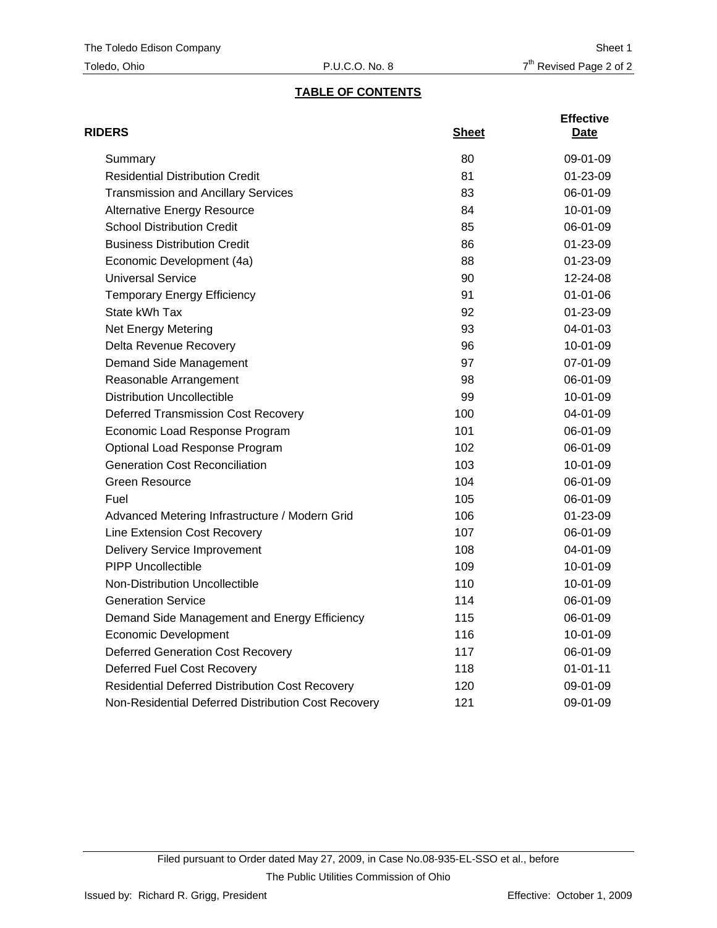# **TABLE OF CONTENTS**

| <b>RIDERS</b>                                          | <b>Sheet</b> | <b>Effective</b><br>Date |
|--------------------------------------------------------|--------------|--------------------------|
| Summary                                                | 80           | $09-01-09$               |
| <b>Residential Distribution Credit</b>                 | 81           | $01 - 23 - 09$           |
| <b>Transmission and Ancillary Services</b>             | 83           | 06-01-09                 |
| <b>Alternative Energy Resource</b>                     | 84           | 10-01-09                 |
| <b>School Distribution Credit</b>                      | 85           | 06-01-09                 |
| <b>Business Distribution Credit</b>                    | 86           | 01-23-09                 |
| Economic Development (4a)                              | 88           | 01-23-09                 |
| <b>Universal Service</b>                               | 90           | 12-24-08                 |
| <b>Temporary Energy Efficiency</b>                     | 91           | $01 - 01 - 06$           |
| State kWh Tax                                          | 92           | 01-23-09                 |
| <b>Net Energy Metering</b>                             | 93           | 04-01-03                 |
| Delta Revenue Recovery                                 | 96           | 10-01-09                 |
| Demand Side Management                                 | 97           | 07-01-09                 |
| Reasonable Arrangement                                 | 98           | 06-01-09                 |
| <b>Distribution Uncollectible</b>                      | 99           | 10-01-09                 |
| <b>Deferred Transmission Cost Recovery</b>             | 100          | 04-01-09                 |
| Economic Load Response Program                         | 101          | 06-01-09                 |
| Optional Load Response Program                         | 102          | 06-01-09                 |
| <b>Generation Cost Reconciliation</b>                  | 103          | 10-01-09                 |
| <b>Green Resource</b>                                  | 104          | 06-01-09                 |
| Fuel                                                   | 105          | 06-01-09                 |
| Advanced Metering Infrastructure / Modern Grid         | 106          | 01-23-09                 |
| Line Extension Cost Recovery                           | 107          | 06-01-09                 |
| <b>Delivery Service Improvement</b>                    | 108          | 04-01-09                 |
| <b>PIPP Uncollectible</b>                              | 109          | 10-01-09                 |
| <b>Non-Distribution Uncollectible</b>                  | 110          | 10-01-09                 |
| <b>Generation Service</b>                              | 114          | 06-01-09                 |
| Demand Side Management and Energy Efficiency           | 115          | 06-01-09                 |
| <b>Economic Development</b>                            | 116          | 10-01-09                 |
| <b>Deferred Generation Cost Recovery</b>               | 117          | 06-01-09                 |
| Deferred Fuel Cost Recovery                            | 118          | $01 - 01 - 11$           |
| <b>Residential Deferred Distribution Cost Recovery</b> | 120          | 09-01-09                 |
| Non-Residential Deferred Distribution Cost Recovery    | 121          | 09-01-09                 |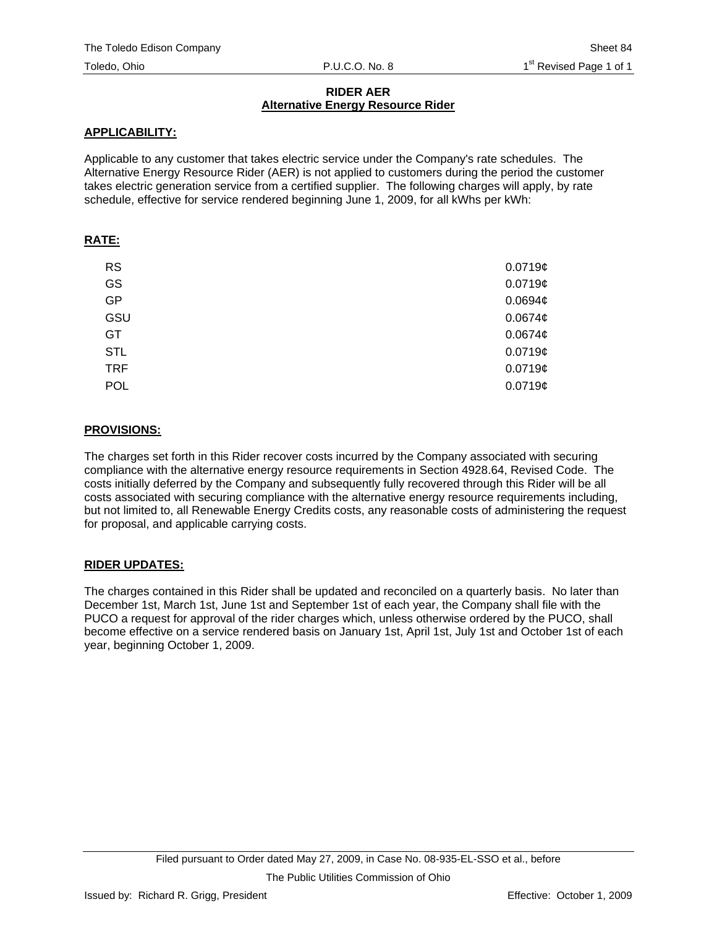## **RIDER AER Alternative Energy Resource Rider**

# **APPLICABILITY:**

Applicable to any customer that takes electric service under the Company's rate schedules. The Alternative Energy Resource Rider (AER) is not applied to customers during the period the customer takes electric generation service from a certified supplier. The following charges will apply, by rate schedule, effective for service rendered beginning June 1, 2009, for all kWhs per kWh:

# **RATE:**

| <b>RS</b>  | $0.0719$ ¢          |
|------------|---------------------|
| GS         | $0.0719$ ¢          |
| <b>GP</b>  | $0.0694\phi$        |
| GSU        | 0.0674 <sub>¢</sub> |
| GT         | 0.0674 <sub>¢</sub> |
| <b>STL</b> | $0.0719$ ¢          |
| <b>TRF</b> | 0.0719c             |
| <b>POL</b> | 0.0719c             |

# **PROVISIONS:**

The charges set forth in this Rider recover costs incurred by the Company associated with securing compliance with the alternative energy resource requirements in Section 4928.64, Revised Code. The costs initially deferred by the Company and subsequently fully recovered through this Rider will be all costs associated with securing compliance with the alternative energy resource requirements including, but not limited to, all Renewable Energy Credits costs, any reasonable costs of administering the request for proposal, and applicable carrying costs.

# **RIDER UPDATES:**

The charges contained in this Rider shall be updated and reconciled on a quarterly basis. No later than December 1st, March 1st, June 1st and September 1st of each year, the Company shall file with the PUCO a request for approval of the rider charges which, unless otherwise ordered by the PUCO, shall become effective on a service rendered basis on January 1st, April 1st, July 1st and October 1st of each year, beginning October 1, 2009.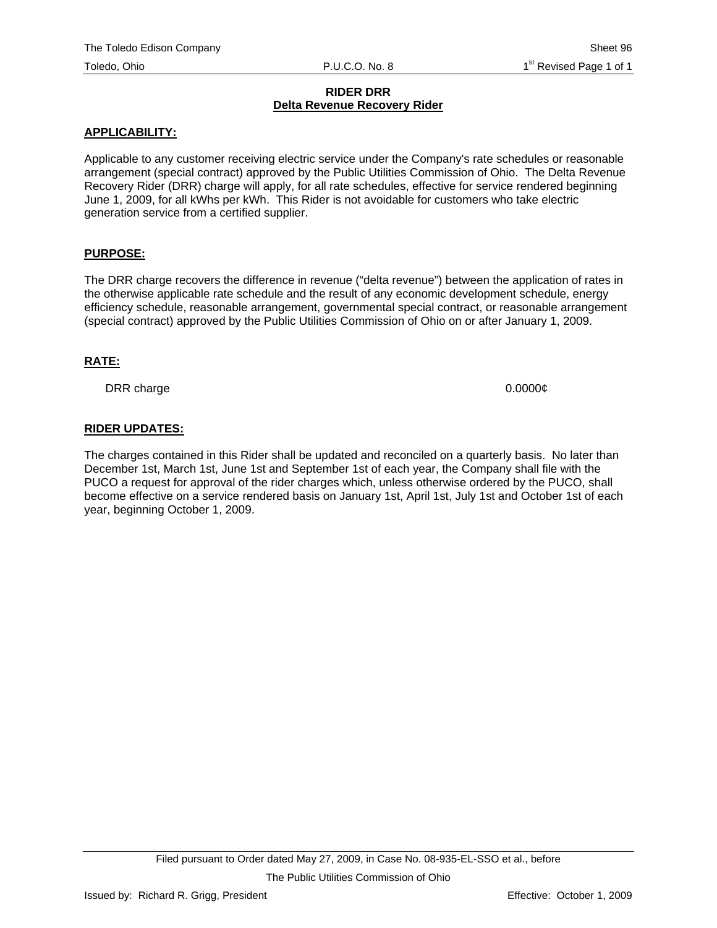#### **RIDER DRR Delta Revenue Recovery Rider**

## **APPLICABILITY:**

Applicable to any customer receiving electric service under the Company's rate schedules or reasonable arrangement (special contract) approved by the Public Utilities Commission of Ohio. The Delta Revenue Recovery Rider (DRR) charge will apply, for all rate schedules, effective for service rendered beginning June 1, 2009, for all kWhs per kWh. This Rider is not avoidable for customers who take electric generation service from a certified supplier.

## **PURPOSE:**

The DRR charge recovers the difference in revenue ("delta revenue") between the application of rates in the otherwise applicable rate schedule and the result of any economic development schedule, energy efficiency schedule, reasonable arrangement, governmental special contract, or reasonable arrangement (special contract) approved by the Public Utilities Commission of Ohio on or after January 1, 2009.

## **RATE:**

DRR charge 0.0000¢

# **RIDER UPDATES:**

The charges contained in this Rider shall be updated and reconciled on a quarterly basis. No later than December 1st, March 1st, June 1st and September 1st of each year, the Company shall file with the PUCO a request for approval of the rider charges which, unless otherwise ordered by the PUCO, shall become effective on a service rendered basis on January 1st, April 1st, July 1st and October 1st of each year, beginning October 1, 2009.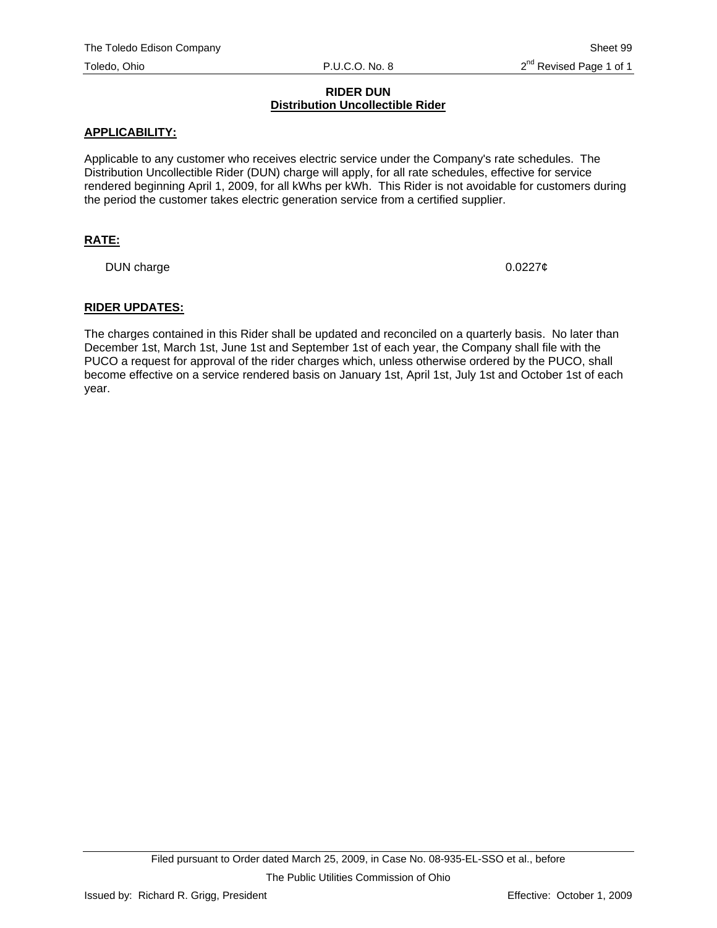## **RIDER DUN Distribution Uncollectible Rider**

#### **APPLICABILITY:**

Applicable to any customer who receives electric service under the Company's rate schedules. The Distribution Uncollectible Rider (DUN) charge will apply, for all rate schedules, effective for service rendered beginning April 1, 2009, for all kWhs per kWh. This Rider is not avoidable for customers during the period the customer takes electric generation service from a certified supplier.

## **RATE:**

DUN charge  $0.0227\phi$ 

#### **RIDER UPDATES:**

The charges contained in this Rider shall be updated and reconciled on a quarterly basis. No later than December 1st, March 1st, June 1st and September 1st of each year, the Company shall file with the PUCO a request for approval of the rider charges which, unless otherwise ordered by the PUCO, shall become effective on a service rendered basis on January 1st, April 1st, July 1st and October 1st of each year.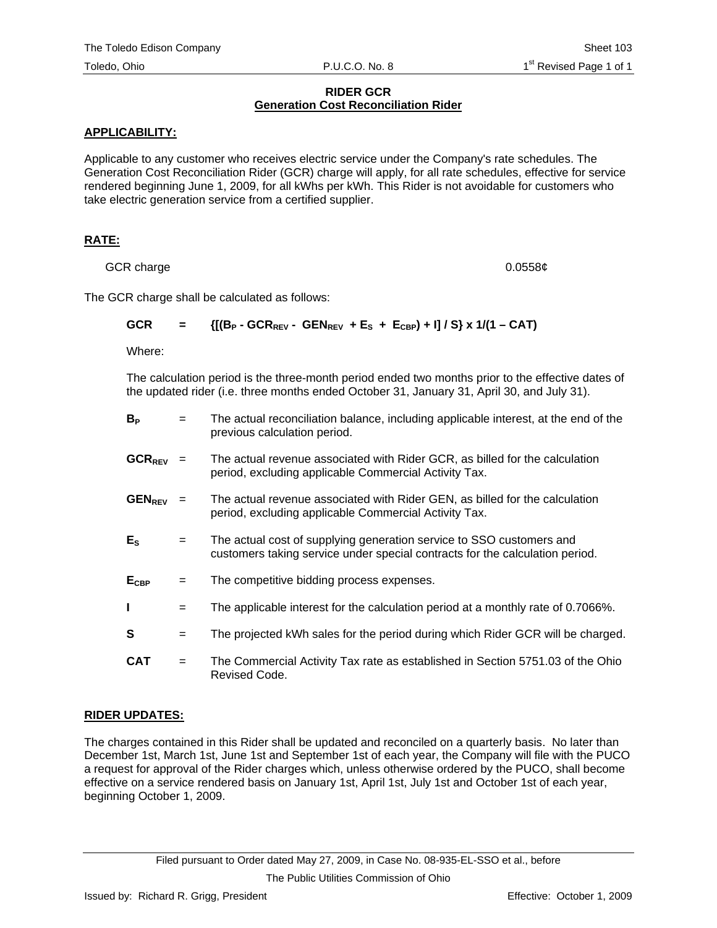#### **RIDER GCR Generation Cost Reconciliation Rider**

## **APPLICABILITY:**

Applicable to any customer who receives electric service under the Company's rate schedules. The Generation Cost Reconciliation Rider (GCR) charge will apply, for all rate schedules, effective for service rendered beginning June 1, 2009, for all kWhs per kWh. This Rider is not avoidable for customers who take electric generation service from a certified supplier.

# **RATE:**

GCR charge 0.0558¢

The GCR charge shall be calculated as follows:

GCR = 
$$
\{[(B_P - GCR_{REV} - GEN_{REV} + E_S + E_{CBP}) + 1]/S\} \times 1/(1 - CAT)
$$

Where:

The calculation period is the three-month period ended two months prior to the effective dates of the updated rider (i.e. three months ended October 31, January 31, April 30, and July 31).

| $B_{P}$            | $=$ | The actual reconciliation balance, including applicable interest, at the end of the<br>previous calculation period.                                  |
|--------------------|-----|------------------------------------------------------------------------------------------------------------------------------------------------------|
| $GCR_{RFV}$ =      |     | The actual revenue associated with Rider GCR, as billed for the calculation<br>period, excluding applicable Commercial Activity Tax.                 |
| GEN <sub>REV</sub> | $=$ | The actual revenue associated with Rider GEN, as billed for the calculation<br>period, excluding applicable Commercial Activity Tax.                 |
| $E_{\rm S}$        | $=$ | The actual cost of supplying generation service to SSO customers and<br>customers taking service under special contracts for the calculation period. |
| $E_{CBP}$          | $=$ | The competitive bidding process expenses.                                                                                                            |
| L                  | $=$ | The applicable interest for the calculation period at a monthly rate of 0.7066%.                                                                     |
| S                  | $=$ | The projected kWh sales for the period during which Rider GCR will be charged.                                                                       |
| <b>CAT</b>         | $=$ | The Commercial Activity Tax rate as established in Section 5751.03 of the Ohio<br>Revised Code.                                                      |

# **RIDER UPDATES:**

The charges contained in this Rider shall be updated and reconciled on a quarterly basis. No later than December 1st, March 1st, June 1st and September 1st of each year, the Company will file with the PUCO a request for approval of the Rider charges which, unless otherwise ordered by the PUCO, shall become effective on a service rendered basis on January 1st, April 1st, July 1st and October 1st of each year, beginning October 1, 2009.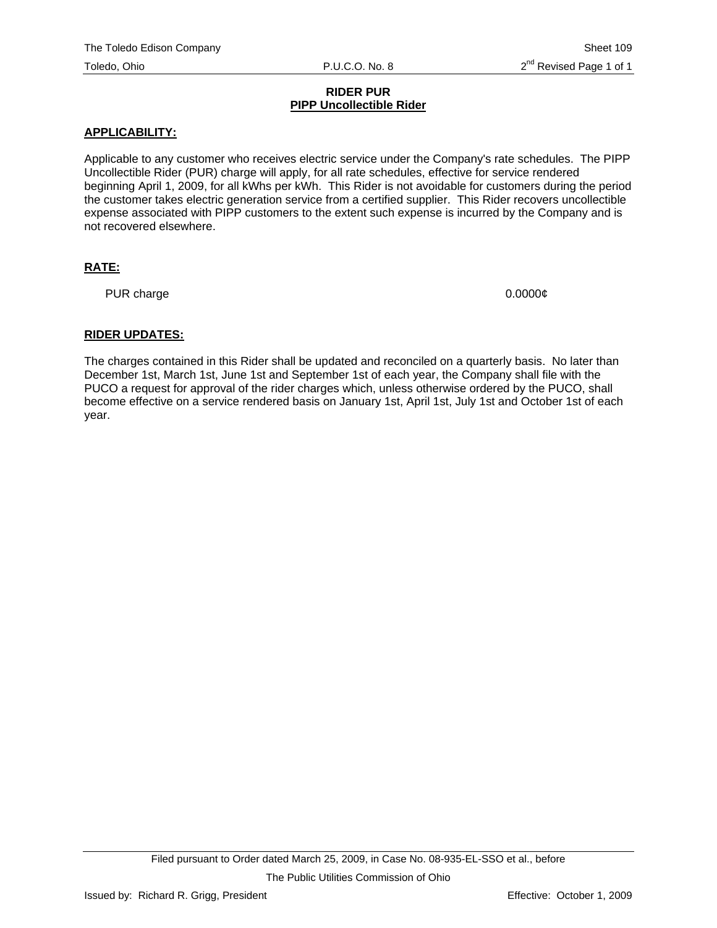#### **RIDER PUR PIPP Uncollectible Rider**

#### **APPLICABILITY:**

Applicable to any customer who receives electric service under the Company's rate schedules. The PIPP Uncollectible Rider (PUR) charge will apply, for all rate schedules, effective for service rendered beginning April 1, 2009, for all kWhs per kWh. This Rider is not avoidable for customers during the period the customer takes electric generation service from a certified supplier. This Rider recovers uncollectible expense associated with PIPP customers to the extent such expense is incurred by the Company and is not recovered elsewhere.

# **RATE:**

PUR charge 0.0000¢

## **RIDER UPDATES:**

The charges contained in this Rider shall be updated and reconciled on a quarterly basis. No later than December 1st, March 1st, June 1st and September 1st of each year, the Company shall file with the PUCO a request for approval of the rider charges which, unless otherwise ordered by the PUCO, shall become effective on a service rendered basis on January 1st, April 1st, July 1st and October 1st of each year.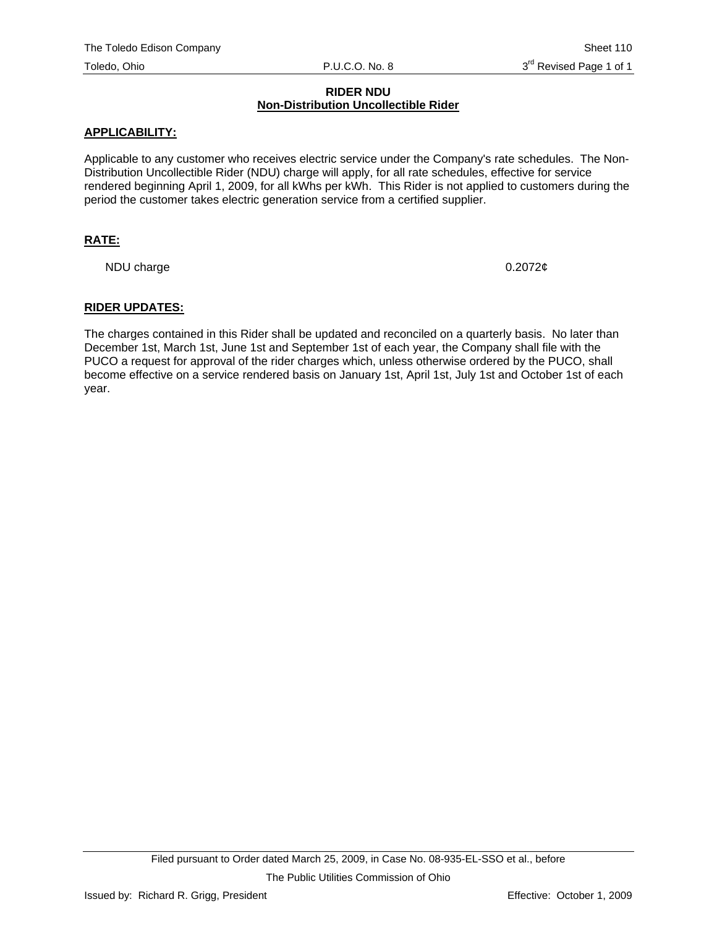#### **RIDER NDU Non-Distribution Uncollectible Rider**

#### **APPLICABILITY:**

Applicable to any customer who receives electric service under the Company's rate schedules. The Non-Distribution Uncollectible Rider (NDU) charge will apply, for all rate schedules, effective for service rendered beginning April 1, 2009, for all kWhs per kWh. This Rider is not applied to customers during the period the customer takes electric generation service from a certified supplier.

## **RATE:**

NDU charge 0.2072¢

#### **RIDER UPDATES:**

The charges contained in this Rider shall be updated and reconciled on a quarterly basis. No later than December 1st, March 1st, June 1st and September 1st of each year, the Company shall file with the PUCO a request for approval of the rider charges which, unless otherwise ordered by the PUCO, shall become effective on a service rendered basis on January 1st, April 1st, July 1st and October 1st of each year.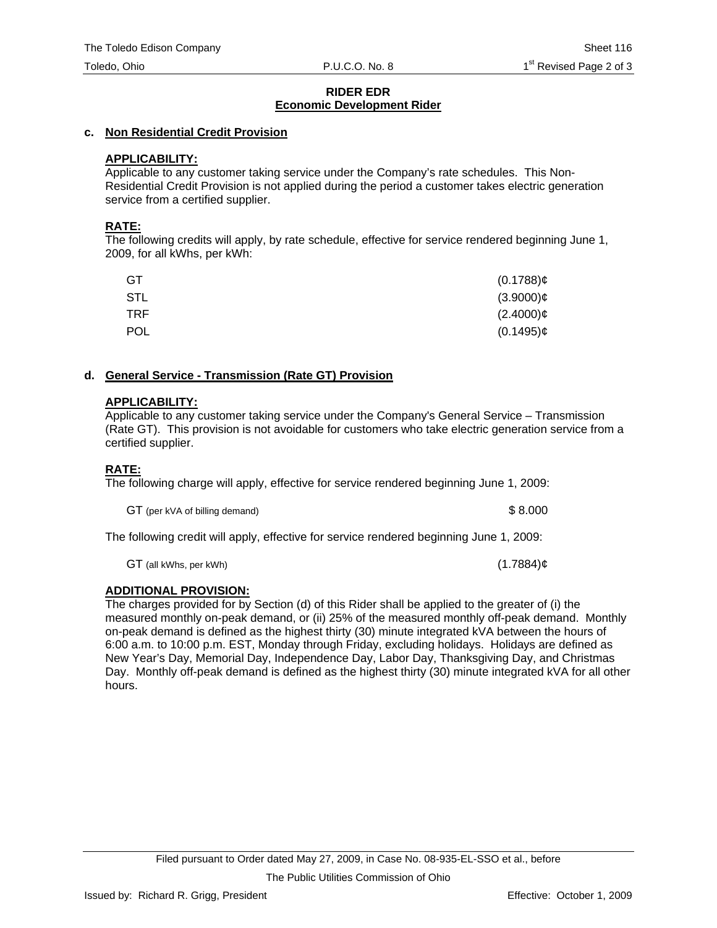#### **RIDER EDR Economic Development Rider**

# **c. Non Residential Credit Provision**

# **APPLICABILITY:**

Applicable to any customer taking service under the Company's rate schedules. This Non-Residential Credit Provision is not applied during the period a customer takes electric generation service from a certified supplier.

## **RATE:**

The following credits will apply, by rate schedule, effective for service rendered beginning June 1, 2009, for all kWhs, per kWh:

| GT         | $(0.1788)$ ¢ |
|------------|--------------|
| STL        | $(3.9000)$ ¢ |
| <b>TRF</b> | $(2.4000)$ ¢ |
| <b>POL</b> | $(0.1495)$ ¢ |

# **d. General Service - Transmission (Rate GT) Provision**

# **APPLICABILITY:**

Applicable to any customer taking service under the Company's General Service – Transmission (Rate GT). This provision is not avoidable for customers who take electric generation service from a certified supplier.

# **RATE:**

The following charge will apply, effective for service rendered beginning June 1, 2009:

GT (per kVA of billing demand)  $$8.000$ 

The following credit will apply, effective for service rendered beginning June 1, 2009:

 $GT$  (all kWhs, per kWh) (1.7884) $¢$  (1.7884) $¢$ 

# **ADDITIONAL PROVISION:**

The charges provided for by Section (d) of this Rider shall be applied to the greater of (i) the measured monthly on-peak demand, or (ii) 25% of the measured monthly off-peak demand. Monthly on-peak demand is defined as the highest thirty (30) minute integrated kVA between the hours of 6:00 a.m. to 10:00 p.m. EST, Monday through Friday, excluding holidays. Holidays are defined as New Year's Day, Memorial Day, Independence Day, Labor Day, Thanksgiving Day, and Christmas Day. Monthly off-peak demand is defined as the highest thirty (30) minute integrated kVA for all other hours.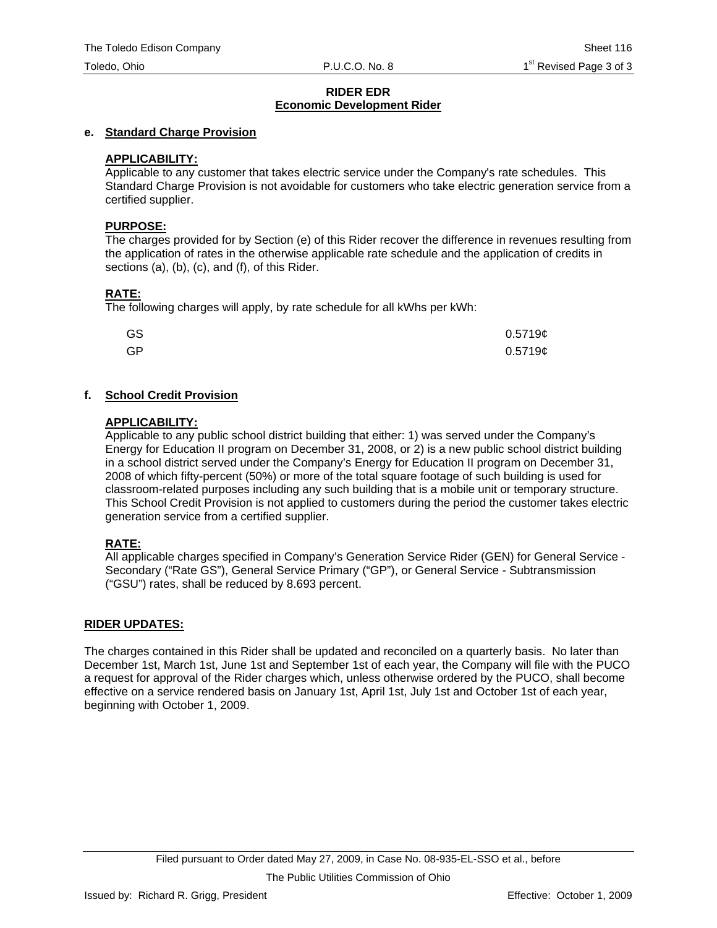#### **RIDER EDR Economic Development Rider**

## **e. Standard Charge Provision**

## **APPLICABILITY:**

Applicable to any customer that takes electric service under the Company's rate schedules. This Standard Charge Provision is not avoidable for customers who take electric generation service from a certified supplier.

#### **PURPOSE:**

The charges provided for by Section (e) of this Rider recover the difference in revenues resulting from the application of rates in the otherwise applicable rate schedule and the application of credits in sections (a), (b), (c), and (f), of this Rider.

## **RATE:**

The following charges will apply, by rate schedule for all kWhs per kWh:

| GS | $0.5719$ ¢ |
|----|------------|
| GP | $0.5719$ ¢ |

# **f. School Credit Provision**

## **APPLICABILITY:**

Applicable to any public school district building that either: 1) was served under the Company's Energy for Education II program on December 31, 2008, or 2) is a new public school district building in a school district served under the Company's Energy for Education II program on December 31, 2008 of which fifty-percent (50%) or more of the total square footage of such building is used for classroom-related purposes including any such building that is a mobile unit or temporary structure. This School Credit Provision is not applied to customers during the period the customer takes electric generation service from a certified supplier.

## **RATE:**

All applicable charges specified in Company's Generation Service Rider (GEN) for General Service - Secondary ("Rate GS"), General Service Primary ("GP"), or General Service - Subtransmission ("GSU") rates, shall be reduced by 8.693 percent.

## **RIDER UPDATES:**

The charges contained in this Rider shall be updated and reconciled on a quarterly basis. No later than December 1st, March 1st, June 1st and September 1st of each year, the Company will file with the PUCO a request for approval of the Rider charges which, unless otherwise ordered by the PUCO, shall become effective on a service rendered basis on January 1st, April 1st, July 1st and October 1st of each year, beginning with October 1, 2009.